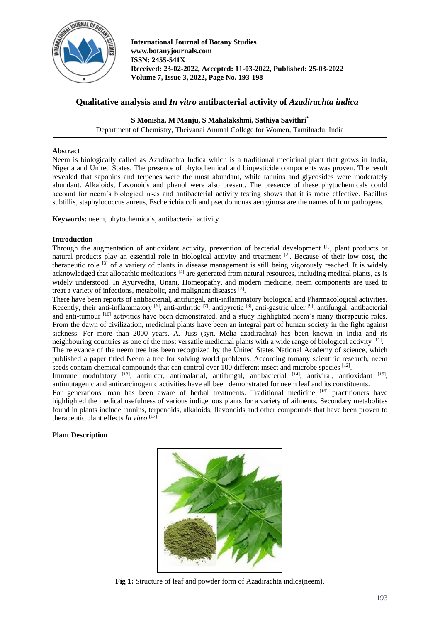

# **Qualitative analysis and** *In vitro* **antibacterial activity of** *Azadirachta indica*

**S Monisha, M Manju, S Mahalakshmi, Sathiya Savithri\***

Department of Chemistry, Theivanai Ammal College for Women, Tamilnadu, India

#### **Abstract**

Neem is biologically called as Azadirachta Indica which is a traditional medicinal plant that grows in India, Nigeria and United States. The presence of phytochemical and biopesticide components was proven. The result revealed that saponins and terpenes were the most abundant, while tannins and glycosides were moderately abundant. Alkaloids, flavonoids and phenol were also present. The presence of these phytochemicals could account for neem's biological uses and antibacterial activity testing shows that it is more effective. Bacillus subtillis, staphylococcus aureus, Escherichia coli and pseudomonas aeruginosa are the names of four pathogens.

**Keywords:** neem, phytochemicals, antibacterial activity

#### **Introduction**

Through the augmentation of antioxidant activity, prevention of bacterial development <sup>[1]</sup>, plant products or natural products play an essential role in biological activity and treatment [2]. Because of their low cost, the therapeutic role  $^{[3]}$  of a variety of plants in disease management is still being vigorously reached. It is widely acknowledged that allopathic medications  $[4]$  are generated from natural resources, including medical plants, as is widely understood. In Ayurvedha, Unani, Homeopathy, and modern medicine, neem components are used to treat a variety of infections, metabolic, and malignant diseases [5].

There have been reports of antibacterial, antifungal, anti-inflammatory biological and Pharmacological activities. Recently, their anti-inflammatory  $[6]$ , anti-arthritic  $[7]$ , antipyretic  $[8]$ , anti-gastric ulcer  $[9]$ , antifungal, antibacterial and anti-tumour [10] activities have been demonstrated, and a study highlighted neem's many therapeutic roles. From the dawn of civilization, medicinal plants have been an integral part of human society in the fight against sickness. For more than 2000 years, A. Juss (syn. Melia azadirachta) has been known in India and its neighbouring countries as one of the most versatile medicinal plants with a wide range of biological activity  $^{[11]}$ . The relevance of the neem tree has been recognized by the United States National Academy of science, which

published a paper titled Neem a tree for solving world problems. According tomany scientific research, neem seeds contain chemical compounds that can control over 100 different insect and microbe species  $[12]$ .

Immune modulatory <sup>[13]</sup>, antiulcer, antimalarial, antifungal, antibacterial <sup>[14]</sup>, antiviral, antioxidant <sup>[15]</sup>, antimutagenic and anticarcinogenic activities have all been demonstrated for neem leaf and its constituents.

For generations, man has been aware of herbal treatments. Traditional medicine <sup>[16]</sup> practitioners have highlighted the medical usefulness of various indigenous plants for a variety of ailments. Secondary metabolites found in plants include tannins, terpenoids, alkaloids, flavonoids and other compounds that have been proven to therapeutic plant effects *In vitro* [17] .

## **Plant Description**



**Fig 1:** Structure of leaf and powder form of Azadirachta indica(neem).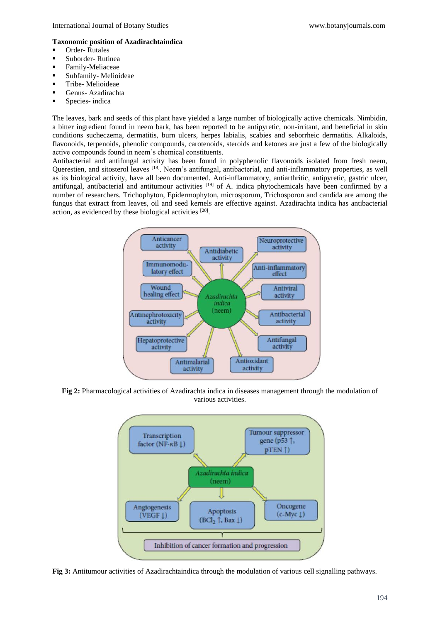## **Taxonomic position of Azadirachtaindica**

- Order-Rutales
- Suborder-Rutinea
- **·** Family-Meliaceae
- Subfamily- Melioideae
- **·** Tribe- Melioideae
- Genus- Azadirachta
- **•** Species- indica

The leaves, bark and seeds of this plant have yielded a large number of biologically active chemicals. Nimbidin, a bitter ingredient found in neem bark, has been reported to be antipyretic, non-irritant, and beneficial in skin conditions sucheczema, dermatitis, burn ulcers, herpes labialis, scabies and seborrheic dermatitis. Alkaloids, flavonoids, terpenoids, phenolic compounds, carotenoids, steroids and ketones are just a few of the biologically active compounds found in neem's chemical constituents.

Antibacterial and antifungal activity has been found in polyphenolic flavonoids isolated from fresh neem, Querestien, and sitosterol leaves <sup>[18]</sup>. Neem's antifungal, antibacterial, and anti-inflammatory properties, as well as its biological activity, have all been documented. Anti-inflammatory, antiarthritic, antipyretic, gastric ulcer, antifungal, antibacterial and antitumour activities <sup>[19]</sup> of A. indica phytochemicals have been confirmed by a number of researchers. Trichophyton, Epidermophyton, microsporum, Trichosporon and candida are among the fungus that extract from leaves, oil and seed kernels are effective against. Azadirachta indica has antibacterial action, as evidenced by these biological activities [20].



**Fig 2:** Pharmacological activities of Azadirachta indica in diseases management through the modulation of various activities.



**Fig 3:** Antitumour activities of Azadirachtaindica through the modulation of various cell signalling pathways.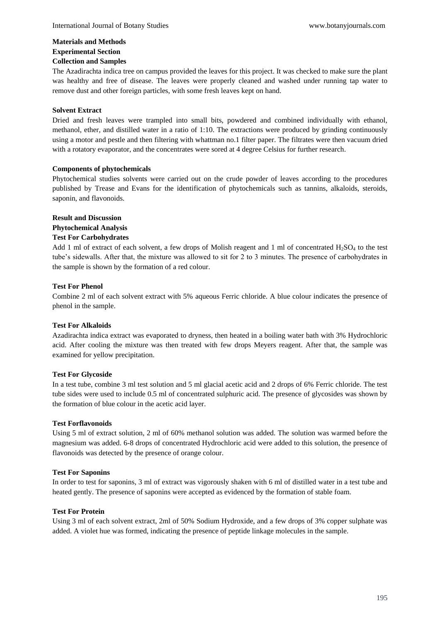## **Materials and Methods Experimental Section**

# **Collection and Samples**

The Azadirachta indica tree on campus provided the leaves for this project. It was checked to make sure the plant was healthy and free of disease. The leaves were properly cleaned and washed under running tap water to remove dust and other foreign particles, with some fresh leaves kept on hand.

## **Solvent Extract**

Dried and fresh leaves were trampled into small bits, powdered and combined individually with ethanol, methanol, ether, and distilled water in a ratio of 1:10. The extractions were produced by grinding continuously using a motor and pestle and then filtering with whattman no.1 filter paper. The filtrates were then vacuum dried with a rotatory evaporator, and the concentrates were sored at 4 degree Celsius for further research.

# **Components of phytochemicals**

Phytochemical studies solvents were carried out on the crude powder of leaves according to the procedures published by Trease and Evans for the identification of phytochemicals such as tannins, alkaloids, steroids, saponin, and flavonoids.

# **Result and Discussion**

# **Phytochemical Analysis**

# **Test For Carbohydrates**

Add 1 ml of extract of each solvent, a few drops of Molish reagent and 1 ml of concentrated  $H_2SO_4$  to the test tube's sidewalls. After that, the mixture was allowed to sit for 2 to 3 minutes. The presence of carbohydrates in the sample is shown by the formation of a red colour.

## **Test For Phenol**

Combine 2 ml of each solvent extract with 5% aqueous Ferric chloride. A blue colour indicates the presence of phenol in the sample.

## **Test For Alkaloids**

Azadirachta indica extract was evaporated to dryness, then heated in a boiling water bath with 3% Hydrochloric acid. After cooling the mixture was then treated with few drops Meyers reagent. After that, the sample was examined for yellow precipitation.

# **Test For Glycoside**

In a test tube, combine 3 ml test solution and 5 ml glacial acetic acid and 2 drops of 6% Ferric chloride. The test tube sides were used to include 0.5 ml of concentrated sulphuric acid. The presence of glycosides was shown by the formation of blue colour in the acetic acid layer.

## **Test Forflavonoids**

Using 5 ml of extract solution, 2 ml of 60% methanol solution was added. The solution was warmed before the magnesium was added. 6-8 drops of concentrated Hydrochloric acid were added to this solution, the presence of flavonoids was detected by the presence of orange colour.

## **Test For Saponins**

In order to test for saponins, 3 ml of extract was vigorously shaken with 6 ml of distilled water in a test tube and heated gently. The presence of saponins were accepted as evidenced by the formation of stable foam.

## **Test For Protein**

Using 3 ml of each solvent extract, 2ml of 50% Sodium Hydroxide, and a few drops of 3% copper sulphate was added. A violet hue was formed, indicating the presence of peptide linkage molecules in the sample.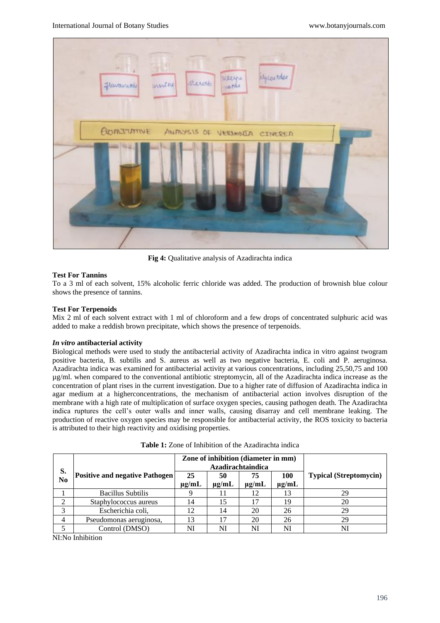

**Fig 4:** Qualitative analysis of Azadirachta indica

#### **Test For Tannins**

To a 3 ml of each solvent, 15% alcoholic ferric chloride was added. The production of brownish blue colour shows the presence of tannins.

#### **Test For Terpenoids**

Mix 2 ml of each solvent extract with 1 ml of chloroform and a few drops of concentrated sulphuric acid was added to make a reddish brown precipitate, which shows the presence of terpenoids.

#### *In vitro* **antibacterial activity**

Biological methods were used to study the antibacterial activity of Azadirachta indica in vitro against twogram positive bacteria, B. subtilis and S. aureus as well as two negative bacteria, E. coli and P. aeruginosa. Azadirachta indica was examined for antibacterial activity at various concentrations, including 25,50,75 and 100 µg/ml. when compared to the conventional antibiotic streptomycin, all of the Azadirachta indica increase as the concentration of plant rises in the current investigation. Due to a higher rate of diffusion of Azadirachta indica in agar medium at a higherconcentrations, the mechanism of antibacterial action involves disruption of the membrane with a high rate of multiplication of surface oxygen species, causing pathogen death. The Azadirachta indica ruptures the cell's outer walls and inner walls, causing disarray and cell membrane leaking. The production of reactive oxygen species may be responsible for antibacterial activity, the ROS toxicity to bacteria is attributed to their high reactivity and oxidising properties.

|          |                                       | Zone of inhibition (diameter in mm)<br>Azadirachtaindica |                  |                  |                   |                               |
|----------|---------------------------------------|----------------------------------------------------------|------------------|------------------|-------------------|-------------------------------|
| S.<br>No | <b>Positive and negative Pathogen</b> | 25<br>$\mu$ g/mL                                         | 50<br>$\mu$ g/mL | 75<br>$\mu$ g/mL | 100<br>$\mu$ g/mL | <b>Typical (Streptomycin)</b> |
|          | <b>Bacillus Subtilis</b>              |                                                          |                  | 12               | 13                | 29                            |
|          | Staphylococcus aureus                 | 14                                                       | 15               | 17               | 19                | 20                            |
| 3        | Escherichia coli,                     | 12                                                       | 14               | 20               | 26                | 29                            |
| 4        | Pseudomonas aeruginosa,               | 3                                                        |                  | 20               | 26                | 29                            |
|          | Control (DMSO)                        | NI                                                       | NI               | NI               | NI                | NI                            |

| <b>Table 1:</b> Zone of Inhibition of the Azadirachta indica |  |  |  |  |
|--------------------------------------------------------------|--|--|--|--|
|--------------------------------------------------------------|--|--|--|--|

NI:No Inhibition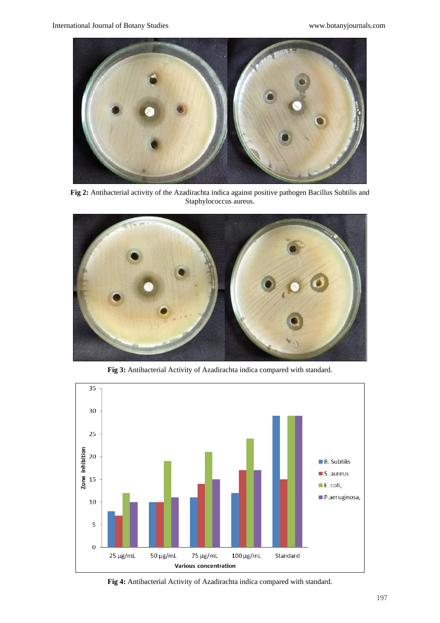

**Fig 2:** Antibacterial activity of the Azadirachta indica against positive pathogen Bacillus Subtilis and Staphylococcus aureus.



**Fig 3:** Antibacterial Activity of Azadirachta indica compared with standard.



**Fig 4:** Antibacterial Activity of Azadirachta indica compared with standard.